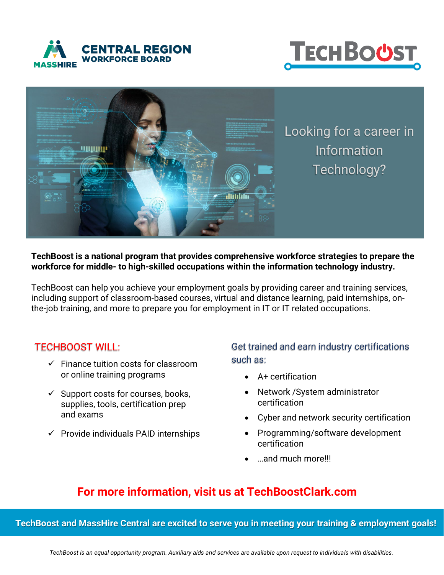





#### **TechBoost is a national program that provides comprehensive workforce strategies to prepare the workforce for middle- to high-skilled occupations within the information technology industry.**

TechBoost can help you achieve your employment goals by providing career and training services, including support of classroom-based courses, virtual and distance learning, paid internships, onthe-job training, and more to prepare you for employment in IT or IT related occupations.

### TECHBOOST WILL:

- $\checkmark$  Finance tuition costs for classroom or online training programs
- $\checkmark$  Support costs for courses, books, supplies, tools, certification prep and exams
- $\checkmark$  Provide individuals PAID internships

## Get trained and earn industry certifications such as:

- A+ certification
- Network /System administrator certification
- Cyber and network security certification
- Programming/software development certification
- …and much more!!!

# **For more information, visit us at [TechBoostClark.com](https://techboostclark.com/)**

**TechBoost and MassHire Central are excited to serve you in meeting your training & employment goals!**